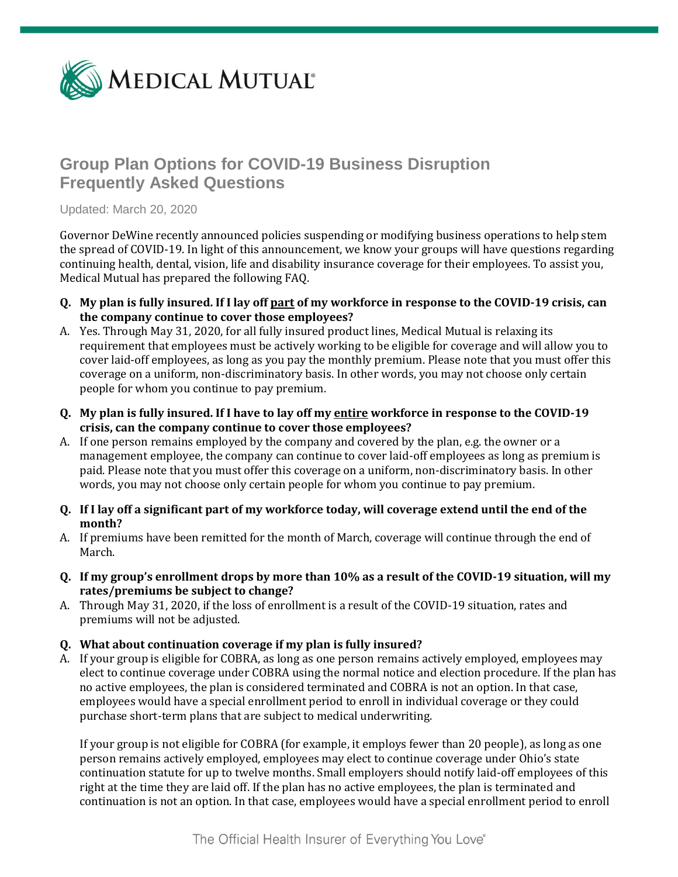

# **Group Plan Options for COVID-19 Business Disruption Frequently Asked Questions**

Updated: March 20, 2020

Governor DeWine recently announced policies suspending or modifying business operations to help stem the spread of COVID-19. In light of this announcement, we know your groups will have questions regarding continuing health, dental, vision, life and disability insurance coverage for their employees. To assist you, Medical Mutual has prepared the following FAQ.

- **Q. My plan is fully insured. If I lay off part of my workforce in response to the COVID-19 crisis, can the company continue to cover those employees?**
- A. Yes. Through May 31, 2020, for all fully insured product lines, Medical Mutual is relaxing its requirement that employees must be actively working to be eligible for coverage and will allow you to cover laid-off employees, as long as you pay the monthly premium. Please note that you must offer this coverage on a uniform, non-discriminatory basis. In other words, you may not choose only certain people for whom you continue to pay premium.
- **Q. My plan is fully insured. If I have to lay off my entire workforce in response to the COVID-19 crisis, can the company continue to cover those employees?**
- A. If one person remains employed by the company and covered by the plan, e.g. the owner or a management employee, the company can continue to cover laid-off employees as long as premium is paid. Please note that you must offer this coverage on a uniform, non-discriminatory basis. In other words, you may not choose only certain people for whom you continue to pay premium.
- **Q. If I lay off a significant part of my workforce today, will coverage extend until the end of the month?**
- A. If premiums have been remitted for the month of March, coverage will continue through the end of March.
- **Q. If my group's enrollment drops by more than 10% as a result of the COVID-19 situation, will my rates/premiums be subject to change?**
- A. Through May 31, 2020, if the loss of enrollment is a result of the COVID-19 situation, rates and premiums will not be adjusted.
- **Q. What about continuation coverage if my plan is fully insured?**
- A. If your group is eligible for COBRA, as long as one person remains actively employed, employees may elect to continue coverage under COBRA using the normal notice and election procedure. If the plan has no active employees, the plan is considered terminated and COBRA is not an option. In that case, employees would have a special enrollment period to enroll in individual coverage or they could purchase short-term plans that are subject to medical underwriting.

If your group is not eligible for COBRA (for example, it employs fewer than 20 people), as long as one person remains actively employed, employees may elect to continue coverage under Ohio's state continuation statute for up to twelve months. Small employers should notify laid-off employees of this right at the time they are laid off. If the plan has no active employees, the plan is terminated and continuation is not an option. In that case, employees would have a special enrollment period to enroll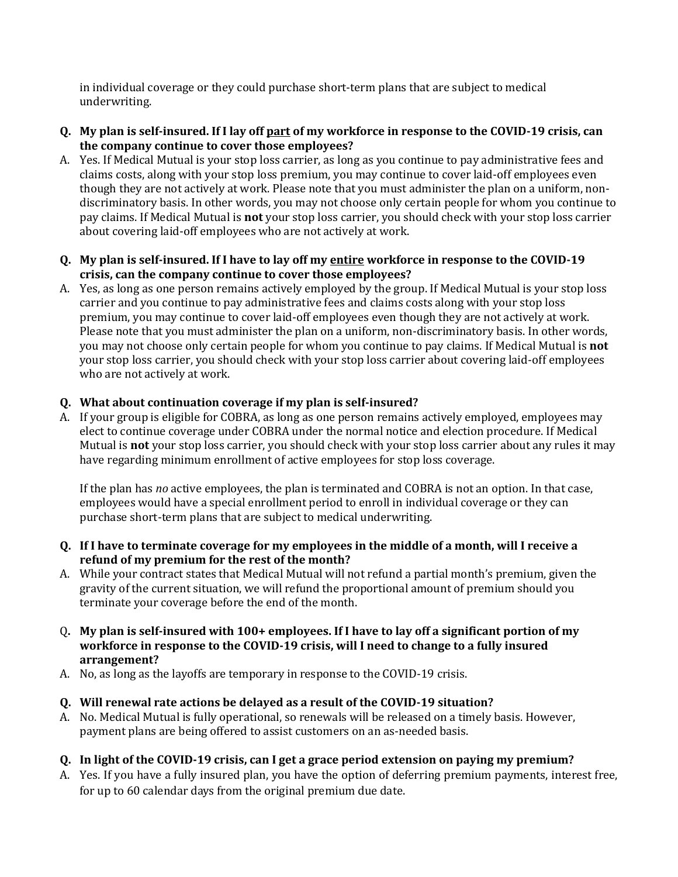in individual coverage or they could purchase short-term plans that are subject to medical underwriting.

- **Q. My plan is self-insured. If I lay off part of my workforce in response to the COVID-19 crisis, can the company continue to cover those employees?**
- A. Yes. If Medical Mutual is your stop loss carrier, as long as you continue to pay administrative fees and claims costs, along with your stop loss premium, you may continue to cover laid-off employees even though they are not actively at work. Please note that you must administer the plan on a uniform, nondiscriminatory basis. In other words, you may not choose only certain people for whom you continue to pay claims. If Medical Mutual is **not** your stop loss carrier, you should check with your stop loss carrier about covering laid-off employees who are not actively at work.
- **Q. My plan is self-insured. If I have to lay off my entire workforce in response to the COVID-19 crisis, can the company continue to cover those employees?**
- A. Yes, as long as one person remains actively employed by the group. If Medical Mutual is your stop loss carrier and you continue to pay administrative fees and claims costs along with your stop loss premium, you may continue to cover laid-off employees even though they are not actively at work. Please note that you must administer the plan on a uniform, non-discriminatory basis. In other words, you may not choose only certain people for whom you continue to pay claims. If Medical Mutual is **not** your stop loss carrier, you should check with your stop loss carrier about covering laid-off employees who are not actively at work.

## **Q. What about continuation coverage if my plan is self-insured?**

A. If your group is eligible for COBRA, as long as one person remains actively employed, employees may elect to continue coverage under COBRA under the normal notice and election procedure. If Medical Mutual is **not** your stop loss carrier, you should check with your stop loss carrier about any rules it may have regarding minimum enrollment of active employees for stop loss coverage.

If the plan has *no* active employees, the plan is terminated and COBRA is not an option. In that case, employees would have a special enrollment period to enroll in individual coverage or they can purchase short-term plans that are subject to medical underwriting.

- **Q. If I have to terminate coverage for my employees in the middle of a month, will I receive a refund of my premium for the rest of the month?**
- A. While your contract states that Medical Mutual will not refund a partial month's premium, given the gravity of the current situation, we will refund the proportional amount of premium should you terminate your coverage before the end of the month.
- Q**. My plan is self-insured with 100+ employees. If I have to lay off a significant portion of my workforce in response to the COVID-19 crisis, will I need to change to a fully insured arrangement?**
- A. No, as long as the layoffs are temporary in response to the COVID-19 crisis.

## **Q. Will renewal rate actions be delayed as a result of the COVID-19 situation?**

A. No. Medical Mutual is fully operational, so renewals will be released on a timely basis. However, payment plans are being offered to assist customers on an as-needed basis.

#### **Q. In light of the COVID-19 crisis, can I get a grace period extension on paying my premium?**

A. Yes. If you have a fully insured plan, you have the option of deferring premium payments, interest free, for up to 60 calendar days from the original premium due date.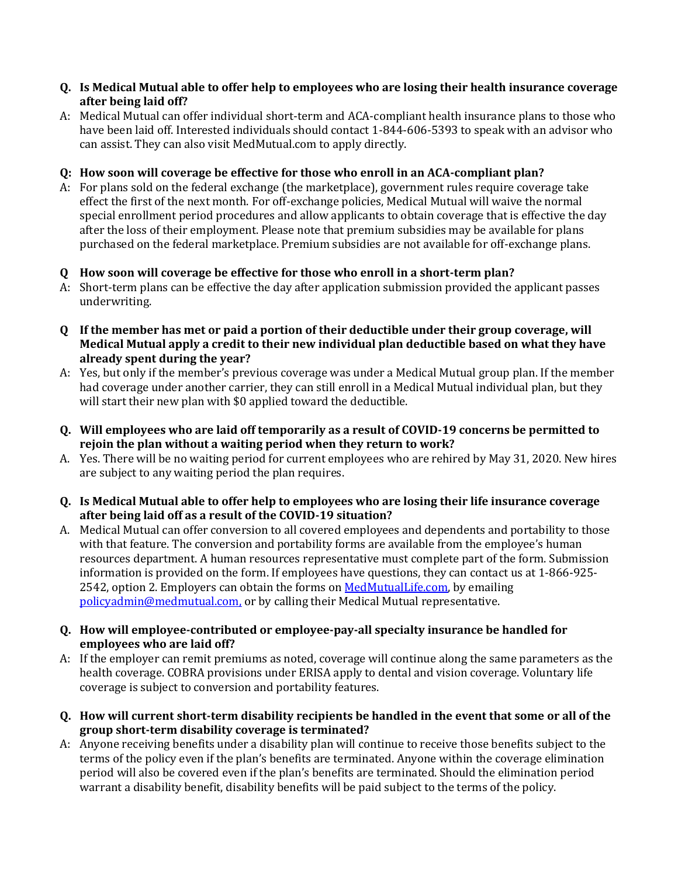#### **Q. Is Medical Mutual able to offer help to employees who are losing their health insurance coverage after being laid off?**

A: Medical Mutual can offer individual short-term and ACA-compliant health insurance plans to those who have been laid off. Interested individuals should contact 1-844-606-5393 to speak with an advisor who can assist. They can also visit MedMutual.com to apply directly.

### **Q: How soon will coverage be effective for those who enroll in an ACA-compliant plan?**

A: For plans sold on the federal exchange (the marketplace), government rules require coverage take effect the first of the next month. For off-exchange policies, Medical Mutual will waive the normal special enrollment period procedures and allow applicants to obtain coverage that is effective the day after the loss of their employment. Please note that premium subsidies may be available for plans purchased on the federal marketplace. Premium subsidies are not available for off-exchange plans.

## **Q How soon will coverage be effective for those who enroll in a short-term plan?**

- A: Short-term plans can be effective the day after application submission provided the applicant passes underwriting.
- **Q If the member has met or paid a portion of their deductible under their group coverage, will Medical Mutual apply a credit to their new individual plan deductible based on what they have already spent during the year?**
- A: Yes, but only if the member's previous coverage was under a Medical Mutual group plan. If the member had coverage under another carrier, they can still enroll in a Medical Mutual individual plan, but they will start their new plan with \$0 applied toward the deductible.
- **Q. Will employees who are laid off temporarily as a result of COVID-19 concerns be permitted to rejoin the plan without a waiting period when they return to work?**
- A. Yes. There will be no waiting period for current employees who are rehired by May 31, 2020. New hires are subject to any waiting period the plan requires.
- **Q. Is Medical Mutual able to offer help to employees who are losing their life insurance coverage after being laid off as a result of the COVID-19 situation?**
- A. Medical Mutual can offer conversion to all covered employees and dependents and portability to those with that feature. The conversion and portability forms are available from the employee's human resources department. A human resources representative must complete part of the form. Submission information is provided on the form. If employees have questions, they can contact us at 1-866-925- 2542, option 2. Employers can obtain the forms on [MedMutualLife.com,](https://www.medmutuallife.com/LifeEmployers/Forms.aspx) by emailing [policyadmin@medmutual.com,](mailto:policyadmin@medmutual.com) or by calling their Medical Mutual representative.
- **Q. How will employee-contributed or employee-pay-all specialty insurance be handled for employees who are laid off?**
- A: If the employer can remit premiums as noted, coverage will continue along the same parameters as the health coverage. COBRA provisions under ERISA apply to dental and vision coverage. Voluntary life coverage is subject to conversion and portability features.
- **Q. How will current short-term disability recipients be handled in the event that some or all of the group short-term disability coverage is terminated?**
- A: Anyone receiving benefits under a disability plan will continue to receive those benefits subject to the terms of the policy even if the plan's benefits are terminated. Anyone within the coverage elimination period will also be covered even if the plan's benefits are terminated. Should the elimination period warrant a disability benefit, disability benefits will be paid subject to the terms of the policy.